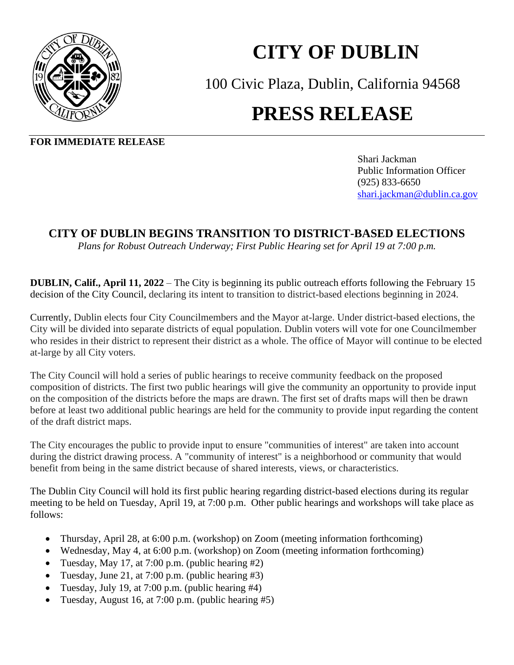

## **CITY OF DUBLIN**

100 Civic Plaza, Dublin, California 94568

## **PRESS RELEASE**

**FOR IMMEDIATE RELEASE**

Shari Jackman Public Information Officer(925) 833-6650 [shari.jackman@dublin.ca.gov](mailto:shari.jackman@dublin.ca.gov)

## **CITY OF DUBLIN BEGINS TRANSITION TO DISTRICT-BASED ELECTIONS**

*Plans for Robust Outreach Underway; First Public Hearing set for April 19 at 7:00 p.m.*

**DUBLIN, Calif., April 11, 2022** – The City is beginning its public outreach efforts following the February 15 decision of the City Council, declaring its intent to transition to district-based elections beginning in 2024.

Currently, Dublin elects four City Councilmembers and the Mayor at-large. Under district-based elections, the City will be divided into separate districts of equal population. Dublin voters will vote for one Councilmember who resides in their district to represent their district as a whole. The office of Mayor will continue to be elected at-large by all City voters.

The City Council will hold a series of public hearings to receive community feedback on the proposed composition of districts. The first two public hearings will give the community an opportunity to provide input on the composition of the districts before the maps are drawn. The first set of drafts maps will then be drawn before at least two additional public hearings are held for the community to provide input regarding the content of the draft district maps.

The City encourages the public to provide input to ensure "communities of interest" are taken into account during the district drawing process. A "community of interest" is a neighborhood or community that would benefit from being in the same district because of shared interests, views, or characteristics.

The Dublin City Council will hold its first public hearing regarding district-based elections during its regular meeting to be held on Tuesday, April 19, at 7:00 p.m. Other public hearings and workshops will take place as follows:

- Thursday, April 28, at 6:00 p.m. (workshop) on Zoom (meeting information forthcoming)
- Wednesday, May 4, at 6:00 p.m. (workshop) on Zoom (meeting information forthcoming)
- Tuesday, May 17, at 7:00 p.m. (public hearing #2)
- Tuesday, June 21, at 7:00 p.m. (public hearing #3)
- Tuesday, July 19, at 7:00 p.m. (public hearing #4)
- Tuesday, August 16, at 7:00 p.m. (public hearing #5)